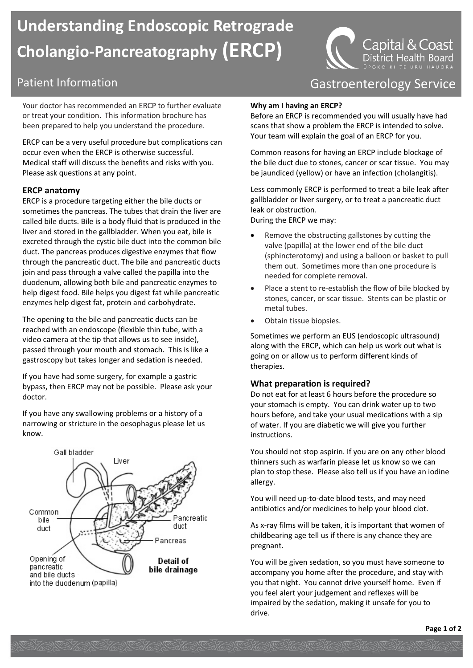# **Understanding Endoscopic Retrograde Cholangio-Pancreatography (ERCP)**

Your doctor has recommended an ERCP to further evaluate or treat your condition. This information brochure has been prepared to help you understand the procedure.

ERCP can be a very useful procedure but complications can occur even when the ERCP is otherwise successful. Medical staff will discuss the benefits and risks with you. Please ask questions at any point.

#### **ERCP anatomy**

ERCP is a procedure targeting either the bile ducts or sometimes the pancreas. The tubes that drain the liver are called bile ducts. Bile is a body fluid that is produced in the liver and stored in the gallbladder. When you eat, bile is excreted through the cystic bile duct into the common bile duct. The pancreas produces digestive enzymes that flow through the pancreatic duct. The bile and pancreatic ducts join and pass through a valve called the papilla into the duodenum, allowing both bile and pancreatic enzymes to help digest food. Bile helps you digest fat while pancreatic enzymes help digest fat, protein and carbohydrate.

The opening to the bile and pancreatic ducts can be reached with an endoscope (flexible thin tube, with a video camera at the tip that allows us to see inside), passed through your mouth and stomach. This is like a gastroscopy but takes longer and sedation is needed.

If you have had some surgery, for example a gastric bypass, then ERCP may not be possible. Please ask your doctor.

If you have any swallowing problems or a history of a narrowing or stricture in the oesophagus please let us know.



## Patient Information **Contract Contract Contract Contract Contract Contract Contract Contract Contract Contract Contract Contract Contract Contract Contract Contract Contract Contract Contract Contract Contract Contract Con**

Capital & Coast District Health Board

#### **Why am I having an ERCP?**

Before an ERCP is recommended you will usually have had scans that show a problem the ERCP is intended to solve. Your team will explain the goal of an ERCP for you.

Common reasons for having an ERCP include blockage of the bile duct due to stones, cancer or scar tissue. You may be jaundiced (yellow) or have an infection (cholangitis).

Less commonly ERCP is performed to treat a bile leak after gallbladder or liver surgery, or to treat a pancreatic duct leak or obstruction.

During the ERCP we may:

- Remove the obstructing gallstones by cutting the valve (papilla) at the lower end of the bile duct (sphincterotomy) and using a balloon or basket to pull them out. Sometimes more than one procedure is needed for complete removal.
- Place a stent to re-establish the flow of bile blocked by stones, cancer, or scar tissue. Stents can be plastic or metal tubes.
- Obtain tissue biopsies.

Sometimes we perform an EUS (endoscopic ultrasound) along with the ERCP, which can help us work out what is going on or allow us to perform different kinds of therapies.

#### **What preparation is required?**

Do not eat for at least 6 hours before the procedure so your stomach is empty. You can drink water up to two hours before, and take your usual medications with a sip of water. If you are diabetic we will give you further instructions.

You should not stop aspirin. If you are on any other blood thinners such as warfarin please let us know so we can plan to stop these. Please also tell us if you have an iodine allergy.

You will need up-to-date blood tests, and may need antibiotics and/or medicines to help your blood clot.

As x-ray films will be taken, it is important that women of childbearing age tell us if there is any chance they are pregnant.

You will be given sedation, so you must have someone to accompany you home after the procedure, and stay with you that night. You cannot drive yourself home. Even if you feel alert your judgement and reflexes will be impaired by the sedation, making it unsafe for you to drive.